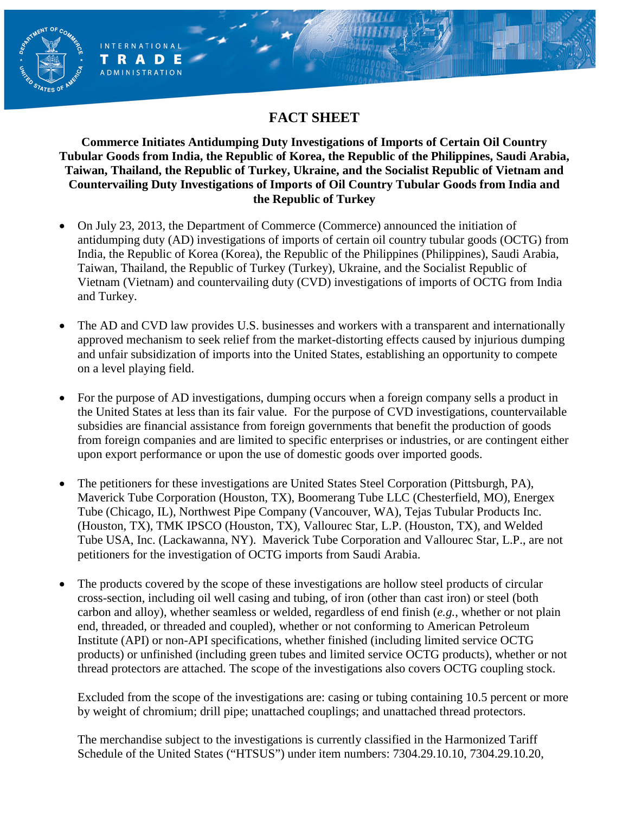# **FACT SHEET**

**AENT OF** 

**INTERNATIONAL** TRADE **ADMINISTRATION** 

**Commerce Initiates Antidumping Duty Investigations of Imports of Certain Oil Country Tubular Goods from India, the Republic of Korea, the Republic of the Philippines, Saudi Arabia, Taiwan, Thailand, the Republic of Turkey, Ukraine, and the Socialist Republic of Vietnam and Countervailing Duty Investigations of Imports of Oil Country Tubular Goods from India and the Republic of Turkey**

- On July 23, 2013, the Department of Commerce (Commerce) announced the initiation of antidumping duty (AD) investigations of imports of certain oil country tubular goods (OCTG) from India, the Republic of Korea (Korea), the Republic of the Philippines (Philippines), Saudi Arabia, Taiwan, Thailand, the Republic of Turkey (Turkey), Ukraine, and the Socialist Republic of Vietnam (Vietnam) and countervailing duty (CVD) investigations of imports of OCTG from India and Turkey.
- The AD and CVD law provides U.S. businesses and workers with a transparent and internationally approved mechanism to seek relief from the market-distorting effects caused by injurious dumping and unfair subsidization of imports into the United States, establishing an opportunity to compete on a level playing field.
- For the purpose of AD investigations, dumping occurs when a foreign company sells a product in the United States at less than its fair value. For the purpose of CVD investigations, countervailable subsidies are financial assistance from foreign governments that benefit the production of goods from foreign companies and are limited to specific enterprises or industries, or are contingent either upon export performance or upon the use of domestic goods over imported goods.
- The petitioners for these investigations are United States Steel Corporation (Pittsburgh, PA), Maverick Tube Corporation (Houston, TX), Boomerang Tube LLC (Chesterfield, MO), Energex Tube (Chicago, IL), Northwest Pipe Company (Vancouver, WA), Tejas Tubular Products Inc. (Houston, TX), TMK IPSCO (Houston, TX), Vallourec Star, L.P. (Houston, TX), and Welded Tube USA, Inc. (Lackawanna, NY). Maverick Tube Corporation and Vallourec Star, L.P., are not petitioners for the investigation of OCTG imports from Saudi Arabia.
- The products covered by the scope of these investigations are hollow steel products of circular cross-section, including oil well casing and tubing, of iron (other than cast iron) or steel (both carbon and alloy), whether seamless or welded, regardless of end finish (*e.g.*, whether or not plain end, threaded, or threaded and coupled), whether or not conforming to American Petroleum Institute (API) or non-API specifications, whether finished (including limited service OCTG products) or unfinished (including green tubes and limited service OCTG products), whether or not thread protectors are attached. The scope of the investigations also covers OCTG coupling stock.

Excluded from the scope of the investigations are: casing or tubing containing 10.5 percent or more by weight of chromium; drill pipe; unattached couplings; and unattached thread protectors.

The merchandise subject to the investigations is currently classified in the Harmonized Tariff Schedule of the United States ("HTSUS") under item numbers: 7304.29.10.10, 7304.29.10.20,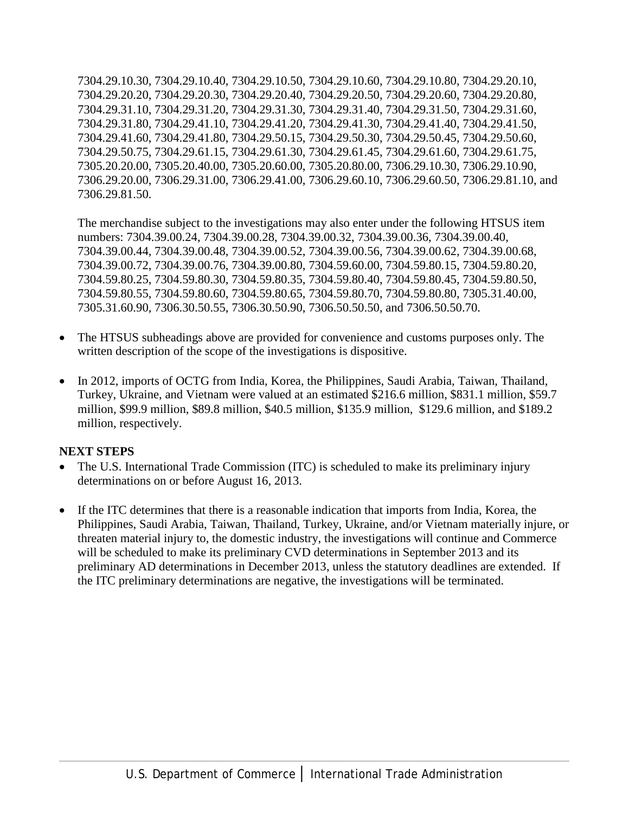7304.29.10.30, 7304.29.10.40, 7304.29.10.50, 7304.29.10.60, 7304.29.10.80, 7304.29.20.10, 7304.29.20.20, 7304.29.20.30, 7304.29.20.40, 7304.29.20.50, 7304.29.20.60, 7304.29.20.80, 7304.29.31.10, 7304.29.31.20, 7304.29.31.30, 7304.29.31.40, 7304.29.31.50, 7304.29.31.60, 7304.29.31.80, 7304.29.41.10, 7304.29.41.20, 7304.29.41.30, 7304.29.41.40, 7304.29.41.50, 7304.29.41.60, 7304.29.41.80, 7304.29.50.15, 7304.29.50.30, 7304.29.50.45, 7304.29.50.60, 7304.29.50.75, 7304.29.61.15, 7304.29.61.30, 7304.29.61.45, 7304.29.61.60, 7304.29.61.75, 7305.20.20.00, 7305.20.40.00, 7305.20.60.00, 7305.20.80.00, 7306.29.10.30, 7306.29.10.90, 7306.29.20.00, 7306.29.31.00, 7306.29.41.00, 7306.29.60.10, 7306.29.60.50, 7306.29.81.10, and 7306.29.81.50.

The merchandise subject to the investigations may also enter under the following HTSUS item numbers: 7304.39.00.24, 7304.39.00.28, 7304.39.00.32, 7304.39.00.36, 7304.39.00.40, 7304.39.00.44, 7304.39.00.48, 7304.39.00.52, 7304.39.00.56, 7304.39.00.62, 7304.39.00.68, 7304.39.00.72, 7304.39.00.76, 7304.39.00.80, 7304.59.60.00, 7304.59.80.15, 7304.59.80.20, 7304.59.80.25, 7304.59.80.30, 7304.59.80.35, 7304.59.80.40, 7304.59.80.45, 7304.59.80.50, 7304.59.80.55, 7304.59.80.60, 7304.59.80.65, 7304.59.80.70, 7304.59.80.80, 7305.31.40.00, 7305.31.60.90, 7306.30.50.55, 7306.30.50.90, 7306.50.50.50, and 7306.50.50.70.

- The HTSUS subheadings above are provided for convenience and customs purposes only. The written description of the scope of the investigations is dispositive.
- In 2012, imports of OCTG from India, Korea, the Philippines, Saudi Arabia, Taiwan, Thailand, Turkey, Ukraine, and Vietnam were valued at an estimated \$216.6 million, \$831.1 million, \$59.7 million, \$99.9 million, \$89.8 million, \$40.5 million, \$135.9 million, \$129.6 million, and \$189.2 million, respectively.

#### **NEXT STEPS**

- The U.S. International Trade Commission (ITC) is scheduled to make its preliminary injury determinations on or before August 16, 2013.
- If the ITC determines that there is a reasonable indication that imports from India, Korea, the Philippines, Saudi Arabia, Taiwan, Thailand, Turkey, Ukraine, and/or Vietnam materially injure, or threaten material injury to, the domestic industry, the investigations will continue and Commerce will be scheduled to make its preliminary CVD determinations in September 2013 and its preliminary AD determinations in December 2013, unless the statutory deadlines are extended. If the ITC preliminary determinations are negative, the investigations will be terminated.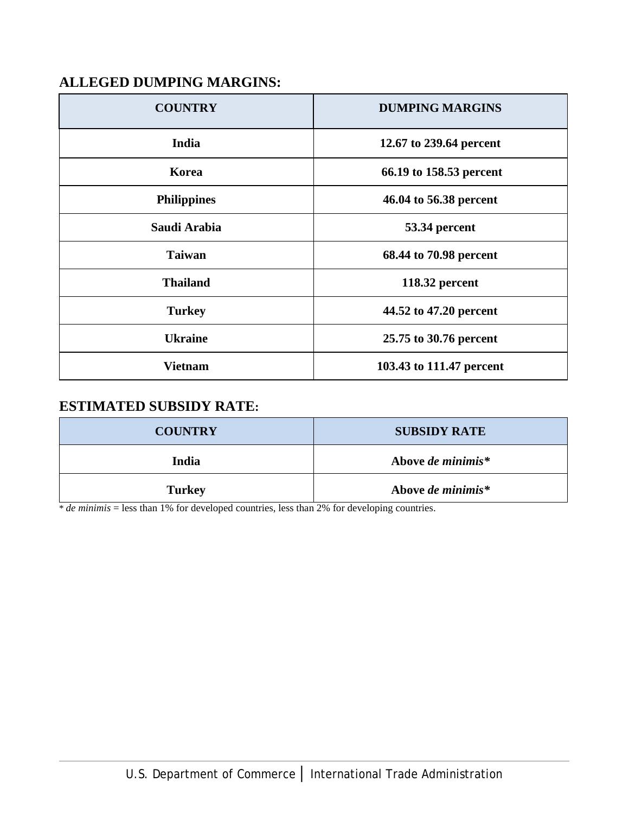## **ALLEGED DUMPING MARGINS:**

| <b>COUNTRY</b>     | <b>DUMPING MARGINS</b>   |  |
|--------------------|--------------------------|--|
| India              | 12.67 to 239.64 percent  |  |
| Korea              | 66.19 to 158.53 percent  |  |
| <b>Philippines</b> | 46.04 to 56.38 percent   |  |
| Saudi Arabia       | 53.34 percent            |  |
| <b>Taiwan</b>      | 68.44 to 70.98 percent   |  |
| <b>Thailand</b>    | 118.32 percent           |  |
| <b>Turkey</b>      | 44.52 to 47.20 percent   |  |
| <b>Ukraine</b>     | 25.75 to 30.76 percent   |  |
| <b>Vietnam</b>     | 103.43 to 111.47 percent |  |

### **ESTIMATED SUBSIDY RATE:**

| <b>COUNTRY</b> | <b>SUBSIDY RATE</b> |  |
|----------------|---------------------|--|
| India          | Above de minimis*   |  |
| <b>Turkey</b>  | Above de minimis*   |  |

\* *de minimis* = less than 1% for developed countries, less than 2% for developing countries.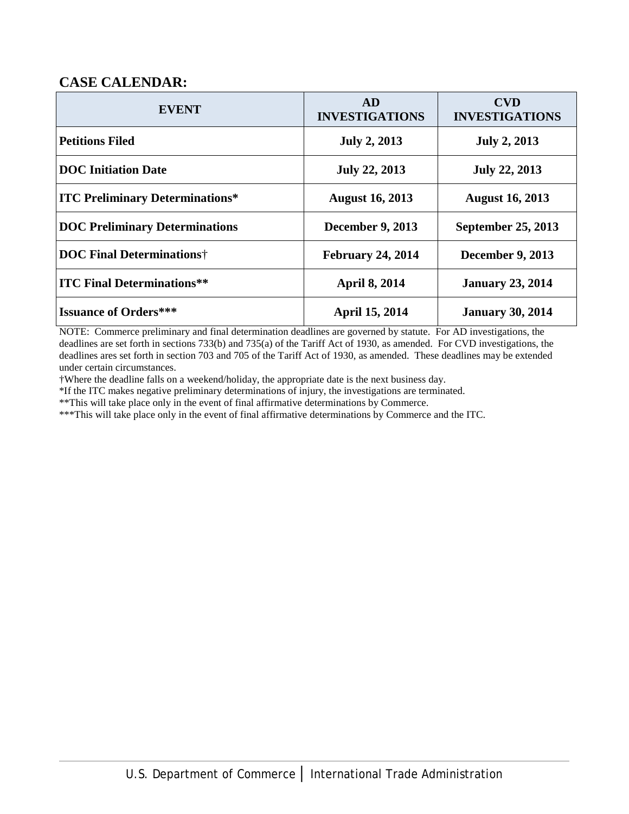### **CASE CALENDAR:**

| <b>EVENT</b>                           | <b>AD</b><br><b>INVESTIGATIONS</b> | <b>CVD</b><br><b>INVESTIGATIONS</b> |
|----------------------------------------|------------------------------------|-------------------------------------|
| <b>Petitions Filed</b>                 | <b>July 2, 2013</b>                | <b>July 2, 2013</b>                 |
| <b>DOC</b> Initiation Date             | <b>July 22, 2013</b>               | <b>July 22, 2013</b>                |
| <b>ITC Preliminary Determinations*</b> | <b>August 16, 2013</b>             | <b>August 16, 2013</b>              |
| <b>DOC Preliminary Determinations</b>  | <b>December 9, 2013</b>            | September 25, 2013                  |
| <b>DOC Final Determinations</b> †      | <b>February 24, 2014</b>           | <b>December 9, 2013</b>             |
| <b>ITC Final Determinations**</b>      | <b>April 8, 2014</b>               | <b>January 23, 2014</b>             |
| <b>Issuance of Orders***</b>           | <b>April 15, 2014</b>              | <b>January 30, 2014</b>             |

NOTE: Commerce preliminary and final determination deadlines are governed by statute. For AD investigations, the deadlines are set forth in sections 733(b) and 735(a) of the Tariff Act of 1930, as amended. For CVD investigations, the deadlines ares set forth in section 703 and 705 of the Tariff Act of 1930, as amended. These deadlines may be extended under certain circumstances.

†Where the deadline falls on a weekend/holiday, the appropriate date is the next business day.

\*If the ITC makes negative preliminary determinations of injury, the investigations are terminated.

\*\*This will take place only in the event of final affirmative determinations by Commerce.

\*\*\*This will take place only in the event of final affirmative determinations by Commerce and the ITC.